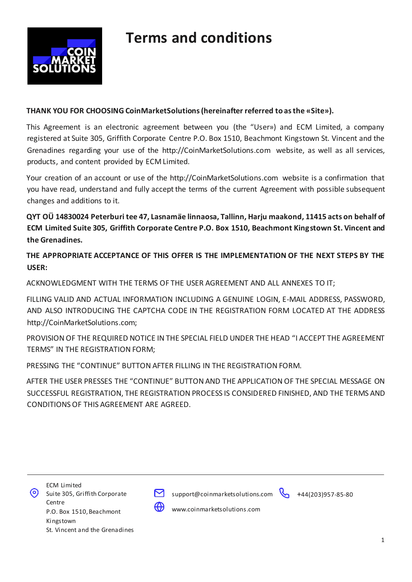

#### **THANK YOU FOR CHOOSING CoinMarketSolutions (hereinafter referred to as the «Site»).**

This Agreement is an electronic agreement between you (the "User») and ECM Limited, a company registered at Suite 305, Griffith Corporate Centre P.O. Box 1510, Beachmont Kingstown St. Vincent and the Grenadines regarding your use of the http://CoinMarketSolutions.com website, as well as all services, products, and content provided by ECM Limited.

Your creation of an account or use of the http://CoinMarketSolutions.com website is a confirmation that you have read, understand and fully accept the terms of the current Agreement with possible subsequent changes and additions to it.

**QYT OÜ14830024 Peterburi tee 47, Lasnamäe linnaosa, Tallinn, Harju maakond, 11415 acts on behalf of ECM Limited Suite 305, Griffith Corporate Centre P.O. Box 1510, Beachmont Kingstown St. Vincent and the Grenadines.** 

**THE APPROPRIATE ACCEPTANCE OF THIS OFFER IS THE IMPLEMENTATION OF THE NEXT STEPS BY THE USER:**

ACKNOWLEDGMENT WITH THE TERMS OF THE USER AGREEMENT AND ALL ANNEXES TO IT;

FILLING VALID AND ACTUAL INFORMATION INCLUDING A GENUINE LOGIN, E-MAIL ADDRESS, PASSWORD, AND ALSO INTRODUCING THE CAPTCHA CODE IN THE REGISTRATION FORM LOCATED AT THE ADDRESS http://CoinMarketSolutions.com;

PROVISION OF THE REQUIRED NOTICE IN THE SPECIAL FIELD UNDER THE HEAD "I ACCEPT THE AGREEMENT TERMS" IN THE REGISTRATION FORM;

PRESSING THE "CONTINUE" BUTTON AFTER FILLING IN THE REGISTRATION FORM.

AFTER THE USER PRESSES THE "CONTINUE" BUTTON AND THE APPLICATION OF THE SPECIAL MESSAGE ON SUCCESSFUL REGISTRATION, THE REGISTRATION PROCESS IS CONSIDERED FINISHED, AND THE TERMS AND CONDITIONS OF THIS AGREEMENT ARE AGREED.





support@coinmarketsolutions.com +44(203)957-85-80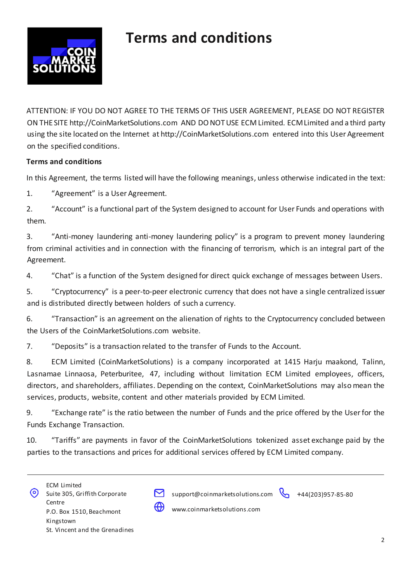

ATTENTION: IF YOU DO NOT AGREE TO THE TERMS OF THIS USER AGREEMENT, PLEASE DO NOT REGISTER ON THE SITE http://CoinMarketSolutions.com AND DO NOT USE ECM Limited. ECM Limited and a third party using the site located on the Internet at http://CoinMarketSolutions.com entered into this User Agreement on the specified conditions.

#### **Terms and conditions**

In this Agreement, the terms listed will have the following meanings, unless otherwise indicated in the text:

1. "Agreement" is a User Agreement.

2. "Account" is a functional part of the System designed to account for User Funds and operations with them.

3. "Anti-money laundering anti-money laundering policy" is a program to prevent money laundering from criminal activities and in connection with the financing of terrorism, which is an integral part of the Agreement.

4. "Chat" is a function of the System designed for direct quick exchange of messages between Users.

5. "Cryptocurrency" is a peer-to-peer electronic currency that does not have a single centralized issuer and is distributed directly between holders of such a currency.

6. "Transaction" is an agreement on the alienation of rights to the Cryptocurrency concluded between the Users of the CoinMarketSolutions.com website.

7. "Deposits" is a transaction related to the transfer of Funds to the Account.

8. ECM Limited (CoinMarketSolutions) is a company incorporated at 1415 Harju maakond, Talinn, Lasnamae Linnaosa, Peterburitee, 47, including without limitation ECM Limited employees, officers, directors, and shareholders, affiliates. Depending on the context, CoinMarketSolutions may also mean the services, products, website, content and other materials provided by ECM Limited.

9. "Exchange rate" is the ratio between the number of Funds and the price offered by the User for the Funds Exchange Transaction.

10. "Tariffs" are payments in favor of the CoinMarketSolutions tokenized asset exchange paid by the parties to the transactions and prices for additional services offered by ECM Limited company.

|   | <b>ECM Limited</b>             |
|---|--------------------------------|
| の | Suite 305, Griffith Corporate  |
|   | Centre                         |
|   | P.O. Box 1510, Beachmont       |
|   | Kingstown                      |
|   | St. Vincent and the Grenadines |
|   |                                |



support@coinmarketsolutions.com +44(203)957-85-80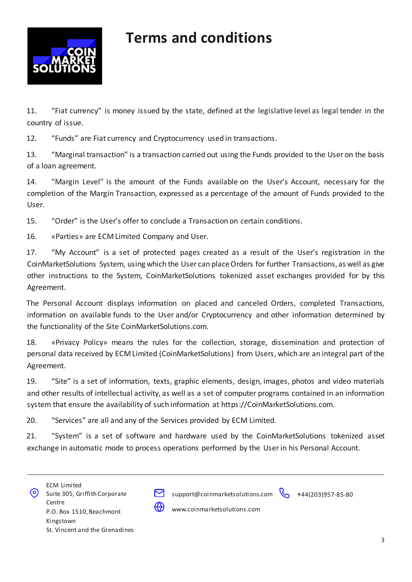

11. "Fiat currency" is money issued by the state, defined at the legislative level as legal tender in the country of issue.

12. "Funds" are Fiat currency and Cryptocurrency used in transactions.

13. "Marginal transaction" is a transaction carried out using the Funds provided to the User on the basis of a loan agreement.

14. "Margin Level" is the amount of the Funds available on the User's Account, necessary for the completion of the Margin Transaction, expressed as a percentage of the amount of Funds provided to the User.

15. "Order" is the User's offer to conclude a Transaction on certain conditions.

16. «Parties» are ECM Limited Company and User.

17. "My Account" is a set of protected pages created as a result of the User's registration in the CoinMarketSolutions System, using which the User can place Orders for further Transactions, as well as give other instructions to the System, CoinMarketSolutions tokenized asset exchanges provided for by this Agreement.

The Personal Account displays information on placed and canceled Orders, completed Transactions, information on available funds to the User and/or Cryptocurrency and other information determined by the functionality of the Site CoinMarketSolutions.com.

18. «Privacy Policy» means the rules for the collection, storage, dissemination and protection of personal data received by ECM Limited (CoinMarketSolutions) from Users, which are an integral part of the Agreement.

19. "Site" is a set of information, texts, graphic elements, design, images, photos and video materials and other results of intellectual activity, as well as a set of computer programs contained in an information system that ensure the availability of such information at https://CoinMarketSolutions.com.

20. "Services" are all and any of the Services provided by ECM Limited.

21. "System" is a set of software and hardware used by the CoinMarketSolutions tokenized asset exchange in automatic mode to process operations performed by the User in his Personal Account.





support@coinmarketsolutions.com +44(203)957-85-80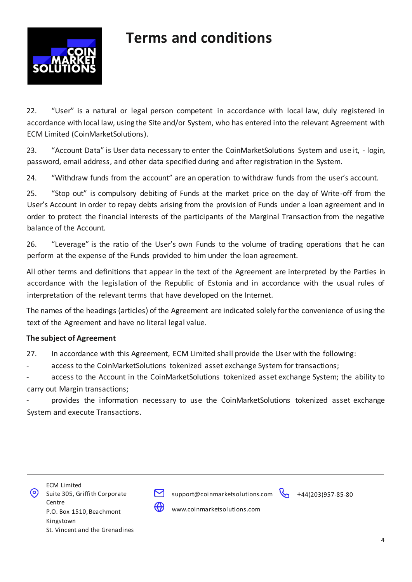

22. "User" is a natural or legal person competent in accordance with local law, duly registered in accordance with local law, using the Site and/or System, who has entered into the relevant Agreement with ECM Limited (CoinMarketSolutions).

23. "Account Data" is User data necessary to enter the CoinMarketSolutions System and use it, - login, password, email address, and other data specified during and after registration in the System.

24. "Withdraw funds from the account" are an operation to withdraw funds from the user's account.

25. "Stop out" is compulsory debiting of Funds at the market price on the day of Write-off from the User's Account in order to repay debts arising from the provision of Funds under a loan agreement and in order to protect the financial interests of the participants of the Marginal Transaction from the negative balance of the Account.

26. "Leverage" is the ratio of the User's own Funds to the volume of trading operations that he can perform at the expense of the Funds provided to him under the loan agreement.

All other terms and definitions that appear in the text of the Agreement are interpreted by the Parties in accordance with the legislation of the Republic of Estonia and in accordance with the usual rules of interpretation of the relevant terms that have developed on the Internet.

The names of the headings (articles) of the Agreement are indicated solely for the convenience of using the text of the Agreement and have no literal legal value.

#### **The subject of Agreement**

27. In accordance with this Agreement, ECM Limited shall provide the User with the following:

access to the CoinMarketSolutions tokenized asset exchange System for transactions;

access to the Account in the CoinMarketSolutions tokenized asset exchange System; the ability to carry out Margin transactions;

provides the information necessary to use the CoinMarketSolutions tokenized asset exchange System and execute Transactions.



support@coinmarketsolutions.com +44(203)957-85-80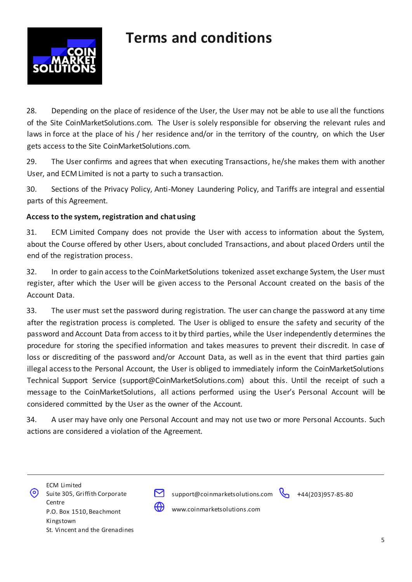

28. Depending on the place of residence of the User, the User may not be able to use all the functions of the Site CoinMarketSolutions.com. The User is solely responsible for observing the relevant rules and laws in force at the place of his / her residence and/or in the territory of the country, on which the User gets access to the Site CoinMarketSolutions.com.

29. The User confirms and agrees that when executing Transactions, he/she makes them with another User, and ECM Limited is not a party to such a transaction.

30. Sections of the Privacy Policy, Anti-Money Laundering Policy, and Tariffs are integral and essential parts of this Agreement.

#### **Access to the system, registration and chat using**

31. ECM Limited Company does not provide the User with access to information about the System, about the Course offered by other Users, about concluded Transactions, and about placed Orders until the end of the registration process.

32. In order to gain access to the CoinMarketSolutions tokenized asset exchange System, the User must register, after which the User will be given access to the Personal Account created on the basis of the Account Data.

33. The user must set the password during registration. The user can change the password at any time after the registration process is completed. The User is obliged to ensure the safety and security of the password and Account Data from access to it by third parties, while the User independently determines the procedure for storing the specified information and takes measures to prevent their discredit. In case of loss or discrediting of the password and/or Account Data, as well as in the event that third parties gain illegal access to the Personal Account, the User is obliged to immediately inform the CoinMarketSolutions Technical Support Service (support@CoinMarketSolutions.com) about this. Until the receipt of such a message to the CoinMarketSolutions, all actions performed using the User's Personal Account will be considered committed by the User as the owner of the Account.

34. A user may have only one Personal Account and may not use two or more Personal Accounts. Such actions are considered a violation of the Agreement.





support@coinmarketsolutions.com +44(203)957-85-80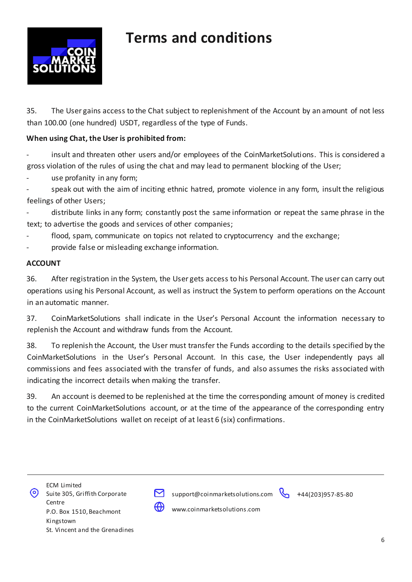

35. The User gains access to the Chat subject to replenishment of the Account by an amount of not less than 100.00 (one hundred) USDT, regardless of the type of Funds.

#### **When using Chat, the User is prohibited from:**

insult and threaten other users and/or employees of the CoinMarketSolutions. This is considered a gross violation of the rules of using the chat and may lead to permanent blocking of the User;

use profanity in any form;

speak out with the aim of inciting ethnic hatred, promote violence in any form, insult the religious feelings of other Users;

distribute links in any form; constantly post the same information or repeat the same phrase in the text; to advertise the goods and services of other companies;

flood, spam, communicate on topics not related to cryptocurrency and the exchange;

provide false or misleading exchange information.

#### **ACCOUNT**

36. After registration in the System, the User gets access to his Personal Account. The user can carry out operations using his Personal Account, as well as instruct the System to perform operations on the Account in an automatic manner.

37. CoinMarketSolutions shall indicate in the User's Personal Account the information necessary to replenish the Account and withdraw funds from the Account.

38. To replenish the Account, the User must transfer the Funds according to the details specified by the CoinMarketSolutions in the User's Personal Account. In this case, the User independently pays all commissions and fees associated with the transfer of funds, and also assumes the risks associated with indicating the incorrect details when making the transfer.

39. An account is deemed to be replenished at the time the corresponding amount of money is credited to the current CoinMarketSolutions account, or at the time of the appearance of the corresponding entry in the CoinMarketSolutions wallet on receipt of at least 6 (six) confirmations.





support@coinmarketsolutions.com +44(203)957-85-80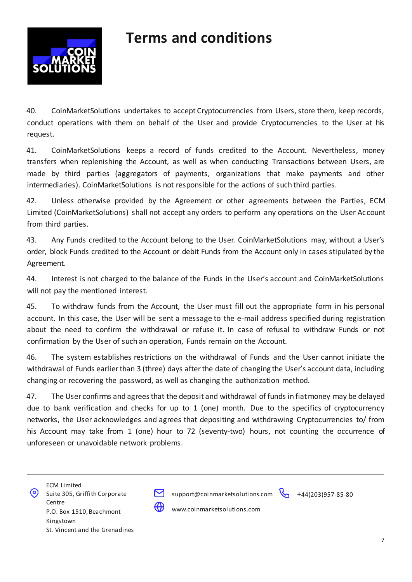

40. CoinMarketSolutions undertakes to accept Cryptocurrencies from Users, store them, keep records, conduct operations with them on behalf of the User and provide Cryptocurrencies to the User at his request.

41. CoinMarketSolutions keeps a record of funds credited to the Account. Nevertheless, money transfers when replenishing the Account, as well as when conducting Transactions between Users, are made by third parties (aggregators of payments, organizations that make payments and other intermediaries). CoinMarketSolutions is not responsible for the actions of such third parties.

42. Unless otherwise provided by the Agreement or other agreements between the Parties, ECM Limited (CoinMarketSolutions) shall not accept any orders to perform any operations on the User Account from third parties.

43. Any Funds credited to the Account belong to the User. CoinMarketSolutions may, without a User's order, block Funds credited to the Account or debit Funds from the Account only in cases stipulated by the Agreement.

44. Interest is not charged to the balance of the Funds in the User's account and CoinMarketSolutions will not pay the mentioned interest.

45. To withdraw funds from the Account, the User must fill out the appropriate form in his personal account. In this case, the User will be sent a message to the e-mail address specified during registration about the need to confirm the withdrawal or refuse it. In case of refusal to withdraw Funds or not confirmation by the User of such an operation, Funds remain on the Account.

46. The system establishes restrictions on the withdrawal of Funds and the User cannot initiate the withdrawal of Funds earlier than 3 (three) days after the date of changing the User's account data, including changing or recovering the password, as well as changing the authorization method.

47. The User confirms and agrees that the deposit and withdrawal of funds in fiat money may be delayed due to bank verification and checks for up to 1 (one) month. Due to the specifics of cryptocurrency networks, the User acknowledges and agrees that depositing and withdrawing Cryptocurrencies to/ from his Account may take from 1 (one) hour to 72 (seventy-two) hours, not counting the occurrence of unforeseen or unavoidable network problems.





support@coinmarketsolutions.com +44(203)957-85-80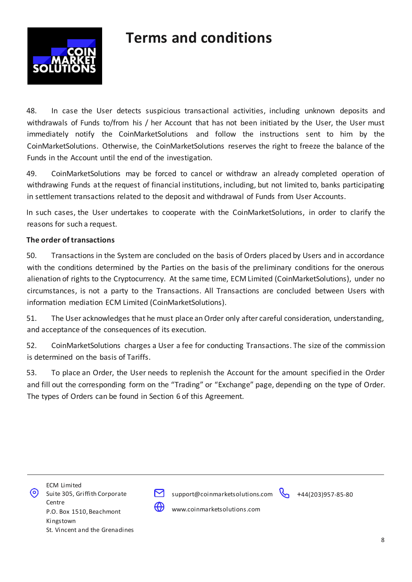

48. In case the User detects suspicious transactional activities, including unknown deposits and withdrawals of Funds to/from his / her Account that has not been initiated by the User, the User must immediately notify the CoinMarketSolutions and follow the instructions sent to him by the CoinMarketSolutions. Otherwise, the CoinMarketSolutions reserves the right to freeze the balance of the Funds in the Account until the end of the investigation.

49. CoinMarketSolutions may be forced to cancel or withdraw an already completed operation of withdrawing Funds at the request of financial institutions, including, but not limited to, banks participating in settlement transactions related to the deposit and withdrawal of Funds from User Accounts.

In such cases, the User undertakes to cooperate with the CoinMarketSolutions, in order to clarify the reasons for such a request.

#### **The order of transactions**

50. Transactions in the System are concluded on the basis of Orders placed by Users and in accordance with the conditions determined by the Parties on the basis of the preliminary conditions for the onerous alienation of rights to the Cryptocurrency. At the same time, ECM Limited (CoinMarketSolutions), under no circumstances, is not a party to the Transactions. All Transactions are concluded between Users with information mediation ECM Limited (CoinMarketSolutions).

51. The User acknowledges that he must place an Order only after careful consideration, understanding, and acceptance of the consequences of its execution.

52. CoinMarketSolutions charges a User a fee for conducting Transactions. The size of the commission is determined on the basis of Tariffs.

53. To place an Order, the User needs to replenish the Account for the amount specified in the Order and fill out the corresponding form on the "Trading" or "Exchange" page, depending on the type of Order. The types of Orders can be found in Section 6 of this Agreement.





support@coinmarketsolutions.com +44(203)957-85-80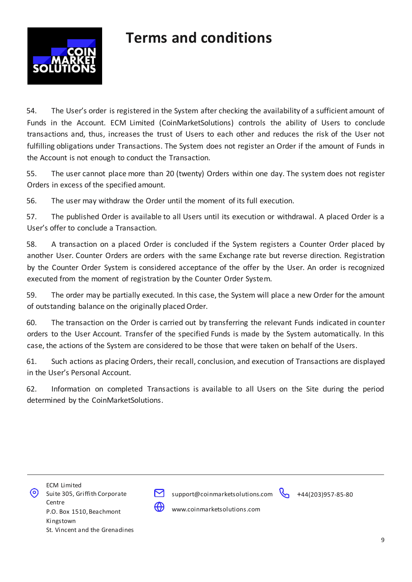

54. The User's order is registered in the System after checking the availability of a sufficient amount of Funds in the Account. ECM Limited (CoinMarketSolutions) controls the ability of Users to conclude transactions and, thus, increases the trust of Users to each other and reduces the risk of the User not fulfilling obligations under Transactions. The System does not register an Order if the amount of Funds in the Account is not enough to conduct the Transaction.

55. The user cannot place more than 20 (twenty) Orders within one day. The system does not register Orders in excess of the specified amount.

56. The user may withdraw the Order until the moment of its full execution.

57. The published Order is available to all Users until its execution or withdrawal. A placed Order is a User's offer to conclude a Transaction.

58. A transaction on a placed Order is concluded if the System registers a Counter Order placed by another User. Counter Orders are orders with the same Exchange rate but reverse direction. Registration by the Counter Order System is considered acceptance of the offer by the User. An order is recognized executed from the moment of registration by the Counter Order System.

59. The order may be partially executed. In this case, the System will place a new Order for the amount of outstanding balance on the originally placed Order.

60. The transaction on the Order is carried out by transferring the relevant Funds indicated in counter orders to the User Account. Transfer of the specified Funds is made by the System automatically. In this case, the actions of the System are considered to be those that were taken on behalf of the Users.

61. Such actions as placing Orders, their recall, conclusion, and execution of Transactions are displayed in the User's Personal Account.

62. Information on completed Transactions is available to all Users on the Site during the period determined by the CoinMarketSolutions.





support@coinmarketsolutions.com +44(203)957-85-80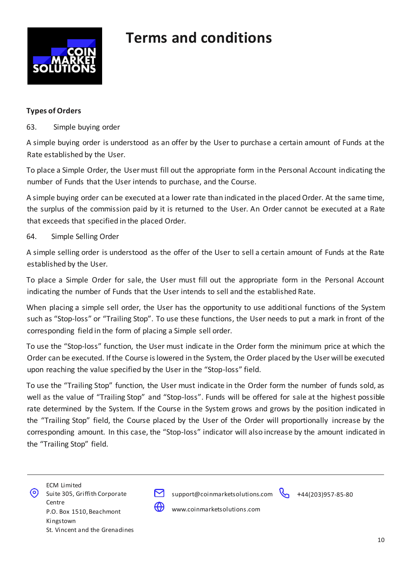

#### **Types of Orders**

63. Simple buying order

A simple buying order is understood as an offer by the User to purchase a certain amount of Funds at the Rate established by the User.

To place a Simple Order, the User must fill out the appropriate form in the Personal Account indicating the number of Funds that the User intends to purchase, and the Course.

A simple buying order can be executed at a lower rate than indicated in the placed Order. At the same time, the surplus of the commission paid by it is returned to the User. An Order cannot be executed at a Rate that exceeds that specified in the placed Order.

#### 64. Simple Selling Order

A simple selling order is understood as the offer of the User to sell a certain amount of Funds at the Rate established by the User.

To place a Simple Order for sale, the User must fill out the appropriate form in the Personal Account indicating the number of Funds that the User intends to sell and the established Rate.

When placing a simple sell order, the User has the opportunity to use additional functions of the System such as "Stop-loss" or "Trailing Stop". To use these functions, the User needs to put a mark in front of the corresponding field in the form of placing a Simple sell order.

To use the "Stop-loss" function, the User must indicate in the Order form the minimum price at which the Order can be executed. If the Course is lowered in the System, the Order placed by the User will be executed upon reaching the value specified by the User in the "Stop-loss" field.

To use the "Trailing Stop" function, the User must indicate in the Order form the number of funds sold, as well as the value of "Trailing Stop" and "Stop-loss". Funds will be offered for sale at the highest possible rate determined by the System. If the Course in the System grows and grows by the position indicated in the "Trailing Stop" field, the Course placed by the User of the Order will proportionally increase by the corresponding amount. In this case, the "Stop-loss" indicator will also increase by the amount indicated in the "Trailing Stop" field.





support@coinmarketsolutions.com +44(203)957-85-80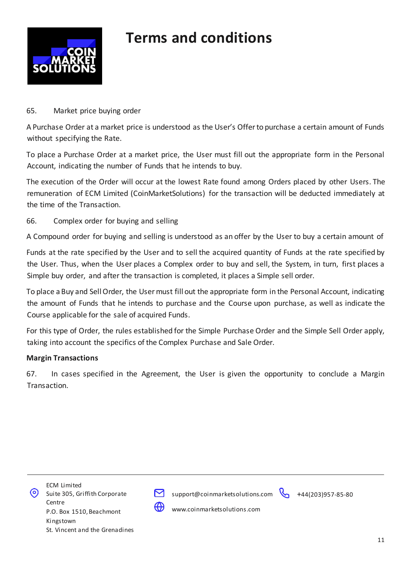

#### 65. Market price buying order

A Purchase Order at a market price is understood as the User's Offer to purchase a certain amount of Funds without specifying the Rate.

To place a Purchase Order at a market price, the User must fill out the appropriate form in the Personal Account, indicating the number of Funds that he intends to buy.

The execution of the Order will occur at the lowest Rate found among Orders placed by other Users. The remuneration of ECM Limited (CoinMarketSolutions) for the transaction will be deducted immediately at the time of the Transaction.

#### 66. Complex order for buying and selling

A Compound order for buying and selling is understood as an offer by the User to buy a certain amount of

Funds at the rate specified by the User and to sell the acquired quantity of Funds at the rate specified by the User. Thus, when the User places a Complex order to buy and sell, the System, in turn, first places a Simple buy order, and after the transaction is completed, it places a Simple sell order.

To place a Buy and Sell Order, the User must fill out the appropriate form in the Personal Account, indicating the amount of Funds that he intends to purchase and the Course upon purchase, as well as indicate the Course applicable for the sale of acquired Funds.

For this type of Order, the rules established for the Simple Purchase Order and the Simple Sell Order apply, taking into account the specifics of the Complex Purchase and Sale Order.

#### **Margin Transactions**

67. In cases specified in the Agreement, the User is given the opportunity to conclude a Margin Transaction.





support@coinmarketsolutions.com +44(203)957-85-80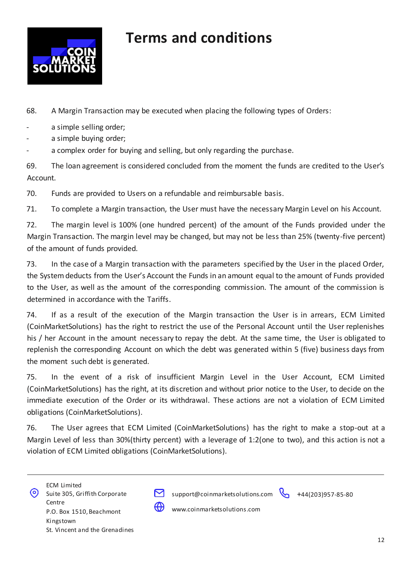

68. A Margin Transaction may be executed when placing the following types of Orders:

- a simple selling order;
- a simple buying order;

- a complex order for buying and selling, but only regarding the purchase.

69. The loan agreement is considered concluded from the moment the funds are credited to the User's Account.

70. Funds are provided to Users on a refundable and reimbursable basis.

71. To complete a Margin transaction, the User must have the necessary Margin Level on his Account.

72. The margin level is 100% (one hundred percent) of the amount of the Funds provided under the Margin Transaction. The margin level may be changed, but may not be less than 25% (twenty-five percent) of the amount of funds provided.

73. In the case of a Margin transaction with the parameters specified by the User in the placed Order, the System deducts from the User's Account the Funds in an amount equal to the amount of Funds provided to the User, as well as the amount of the corresponding commission. The amount of the commission is determined in accordance with the Tariffs.

74. If as a result of the execution of the Margin transaction the User is in arrears, ECM Limited (CoinMarketSolutions) has the right to restrict the use of the Personal Account until the User replenishes his / her Account in the amount necessary to repay the debt. At the same time, the User is obligated to replenish the corresponding Account on which the debt was generated within 5 (five) business days from the moment such debt is generated.

75. In the event of a risk of insufficient Margin Level in the User Account, ECM Limited (CoinMarketSolutions) has the right, at its discretion and without prior notice to the User, to decide on the immediate execution of the Order or its withdrawal. These actions are not a violation of ECM Limited obligations (CoinMarketSolutions).

76. The User agrees that ECM Limited (CoinMarketSolutions) has the right to make a stop-out at a Margin Level of less than 30%(thirty percent) with a leverage of 1:2(one to two), and this action is not a violation of ECM Limited obligations (CoinMarketSolutions).



support@coinmarketsolutions.com +44(203)957-85-80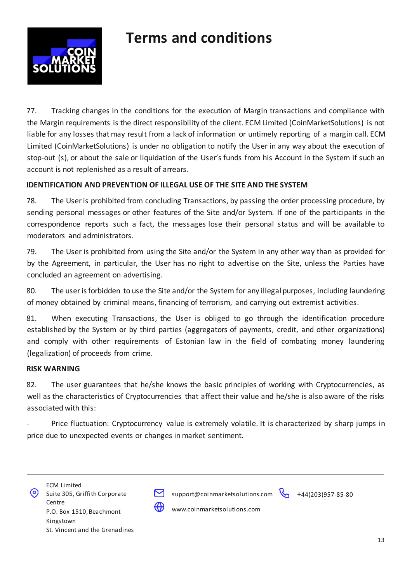

77. Tracking changes in the conditions for the execution of Margin transactions and compliance with the Margin requirements is the direct responsibility of the client. ECM Limited (CoinMarketSolutions) is not liable for any losses that may result from a lack of information or untimely reporting of a margin call. ECM Limited (CoinMarketSolutions) is under no obligation to notify the User in any way about the execution of stop-out (s), or about the sale or liquidation of the User's funds from his Account in the System if such an account is not replenished as a result of arrears.

#### **IDENTIFICATION AND PREVENTION OF ILLEGAL USE OF THE SITE AND THE SYSTEM**

78. The User is prohibited from concluding Transactions, by passing the order processing procedure, by sending personal messages or other features of the Site and/or System. If one of the participants in the correspondence reports such a fact, the messages lose their personal status and will be available to moderators and administrators.

79. The User is prohibited from using the Site and/or the System in any other way than as provided for by the Agreement, in particular, the User has no right to advertise on the Site, unless the Parties have concluded an agreement on advertising.

80. The user is forbidden to use the Site and/or the System for any illegal purposes, including laundering of money obtained by criminal means, financing of terrorism, and carrying out extremist activities.

81. When executing Transactions, the User is obliged to go through the identification procedure established by the System or by third parties (aggregators of payments, credit, and other organizations) and comply with other requirements of Estonian law in the field of combating money laundering (legalization) of proceeds from crime.

#### **RISK WARNING**

82. The user guarantees that he/she knows the basic principles of working with Cryptocurrencies, as well as the characteristics of Cryptocurrencies that affect their value and he/she is also aware of the risks associated with this:

Price fluctuation: Cryptocurrency value is extremely volatile. It is characterized by sharp jumps in price due to unexpected events or changes in market sentiment.





support@coinmarketsolutions.com +44(203)957-85-80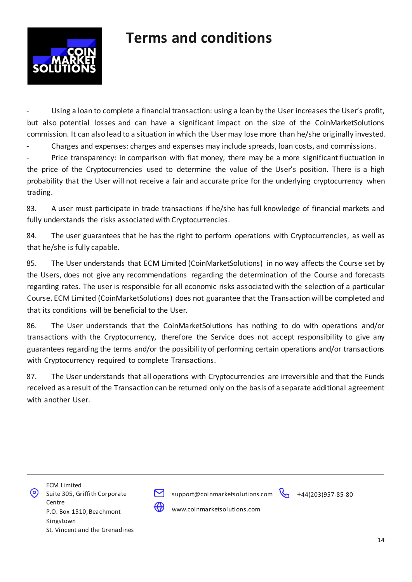

Using a loan to complete a financial transaction: using a loan by the User increases the User's profit, but also potential losses and can have a significant impact on the size of the CoinMarketSolutions commission. It can also lead to a situation in which the User may lose more than he/she originally invested.

- Charges and expenses: charges and expenses may include spreads, loan costs, and commissions.

Price transparency: in comparison with fiat money, there may be a more significant fluctuation in the price of the Cryptocurrencies used to determine the value of the User's position. There is a high probability that the User will not receive a fair and accurate price for the underlying cryptocurrency when trading.

83. A user must participate in trade transactions if he/she has full knowledge of financial markets and fully understands the risks associated with Cryptocurrencies.

84. The user guarantees that he has the right to perform operations with Cryptocurrencies, as well as that he/she is fully capable.

85. The User understands that ECM Limited (CoinMarketSolutions) in no way affects the Course set by the Users, does not give any recommendations regarding the determination of the Course and forecasts regarding rates. The user is responsible for all economic risks associated with the selection of a particular Course. ECM Limited (CoinMarketSolutions) does not guarantee that the Transaction will be completed and that its conditions will be beneficial to the User.

86. The User understands that the CoinMarketSolutions has nothing to do with operations and/or transactions with the Cryptocurrency, therefore the Service does not accept responsibility to give any guarantees regarding the terms and/or the possibility of performing certain operations and/or transactions with Cryptocurrency required to complete Transactions.

87. The User understands that all operations with Cryptocurrencies are irreversible and that the Funds received as a result of the Transaction can be returned only on the basis of a separate additional agreement with another User.





support@coinmarketsolutions.com +44(203)957-85-80